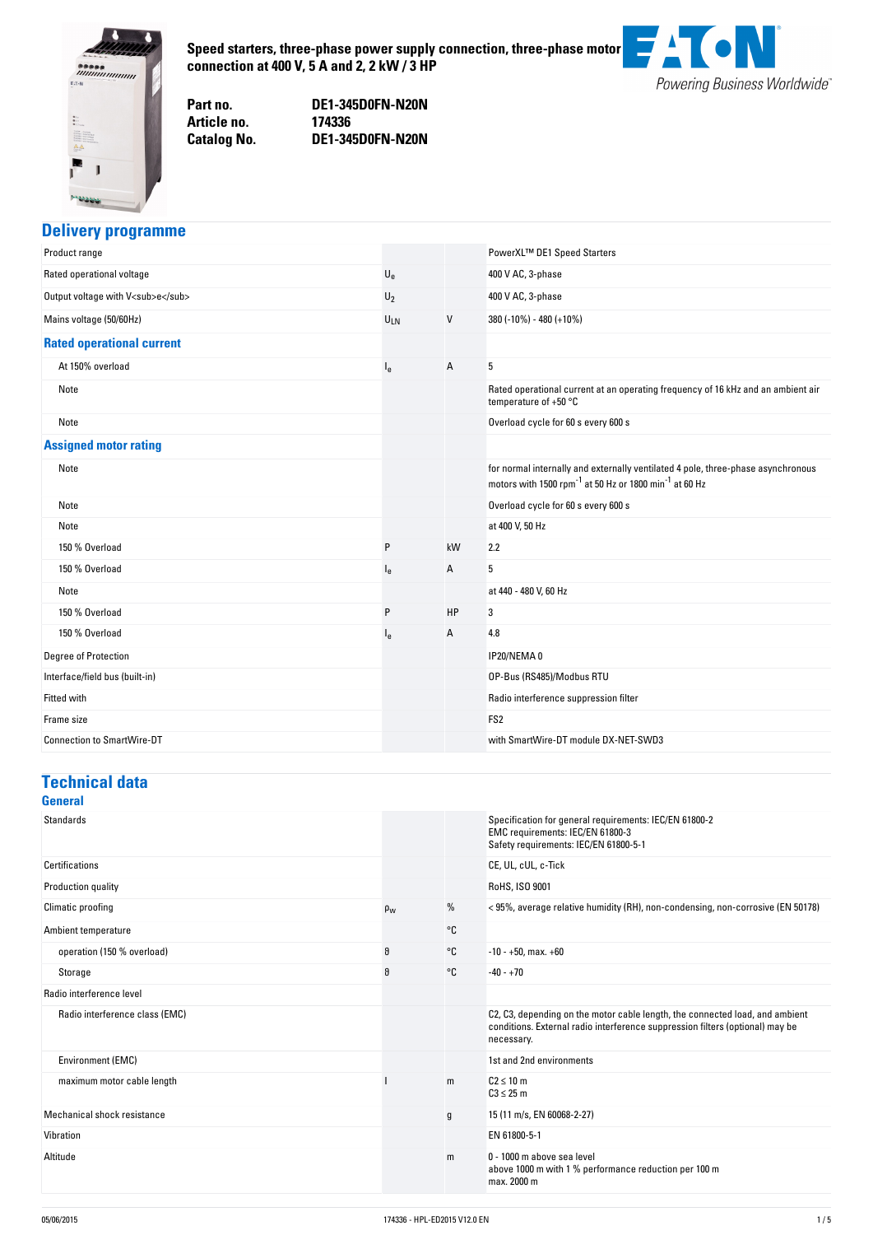<span id="page-0-0"></span>

Part no.

**Speed-starters,-three-phase-power-supply-connection,-three-phase-motor connection-at-400-V,-5-A-and-2,-2-kW-/-3-HP**



**no. DE1-345D0FN-N20N** Article no. **no. 174336 Catalog No. No. DE1-345D0FN-N20N**

# **Delivery-programme**

| Product range                      |                |    | PowerXL™ DE1 Speed Starters                                                                                                                                        |
|------------------------------------|----------------|----|--------------------------------------------------------------------------------------------------------------------------------------------------------------------|
| Rated operational voltage          | $U_{\rm e}$    |    | 400 V AC, 3-phase                                                                                                                                                  |
| Output voltage with V <sub>e</sub> | $U_2$          |    | 400 V AC, 3-phase                                                                                                                                                  |
| Mains voltage (50/60Hz)            | $U_{LN}$       | V  | 380 (-10%) - 480 (+10%)                                                                                                                                            |
| <b>Rated operational current</b>   |                |    |                                                                                                                                                                    |
| At 150% overload                   | l <sub>e</sub> | Α  | 5                                                                                                                                                                  |
| Note                               |                |    | Rated operational current at an operating frequency of 16 kHz and an ambient air<br>temperature of $+50 °C$                                                        |
| Note                               |                |    | Overload cycle for 60 s every 600 s                                                                                                                                |
| <b>Assigned motor rating</b>       |                |    |                                                                                                                                                                    |
| Note                               |                |    | for normal internally and externally ventilated 4 pole, three-phase asynchronous<br>motors with 1500 rpm <sup>-1</sup> at 50 Hz or 1800 min <sup>-1</sup> at 60 Hz |
| Note                               |                |    | Overload cycle for 60 s every 600 s                                                                                                                                |
| Note                               |                |    | at 400 V, 50 Hz                                                                                                                                                    |
| 150 % Overload                     | P              | kW | 2.2                                                                                                                                                                |
| 150 % Overload                     | l <sub>e</sub> | Α  | 5                                                                                                                                                                  |
| Note                               |                |    | at 440 - 480 V, 60 Hz                                                                                                                                              |
| 150 % Overload                     | P              | HP | 3                                                                                                                                                                  |
| 150 % Overload                     | l <sub>e</sub> | Α  | 4.8                                                                                                                                                                |
| Degree of Protection               |                |    | IP20/NEMA0                                                                                                                                                         |
| Interface/field bus (built-in)     |                |    | OP-Bus (RS485)/Modbus RTU                                                                                                                                          |
| <b>Fitted with</b>                 |                |    | Radio interference suppression filter                                                                                                                              |
| Frame size                         |                |    | FS <sub>2</sub>                                                                                                                                                    |
| <b>Connection to SmartWire-DT</b>  |                |    | with SmartWire-DT module DX-NET-SWD3                                                                                                                               |

#### **Technical-data**

| General                        |          |    |                                                                                                                                                                             |
|--------------------------------|----------|----|-----------------------------------------------------------------------------------------------------------------------------------------------------------------------------|
| <b>Standards</b>               |          |    | Specification for general requirements: IEC/EN 61800-2<br>EMC requirements: IEC/EN 61800-3<br>Safety requirements: IEC/EN 61800-5-1                                         |
| Certifications                 |          |    | CE, UL, cUL, c-Tick                                                                                                                                                         |
| Production quality             |          |    | RoHS, ISO 9001                                                                                                                                                              |
| Climatic proofing              | $\rho_W$ | %  | < 95%, average relative humidity (RH), non-condensing, non-corrosive (EN 50178)                                                                                             |
| Ambient temperature            |          | °C |                                                                                                                                                                             |
| operation (150 % overload)     | 9        | °C | $-10 - +50$ , max. $+60$                                                                                                                                                    |
| Storage                        | 9        | °C | $-40 - +70$                                                                                                                                                                 |
| Radio interference level       |          |    |                                                                                                                                                                             |
| Radio interference class (EMC) |          |    | C2, C3, depending on the motor cable length, the connected load, and ambient<br>conditions. External radio interference suppression filters (optional) may be<br>necessary. |
| Environment (EMC)              |          |    | 1st and 2nd environments                                                                                                                                                    |
| maximum motor cable length     |          | m  | $C2 \leq 10$ m<br>$C3 \leq 25$ m                                                                                                                                            |
| Mechanical shock resistance    |          | g  | 15 (11 m/s, EN 60068-2-27)                                                                                                                                                  |
| Vibration                      |          |    | EN 61800-5-1                                                                                                                                                                |
| Altitude                       |          | m  | 0 - 1000 m above sea level<br>above 1000 m with 1 % performance reduction per 100 m<br>max. 2000 m                                                                          |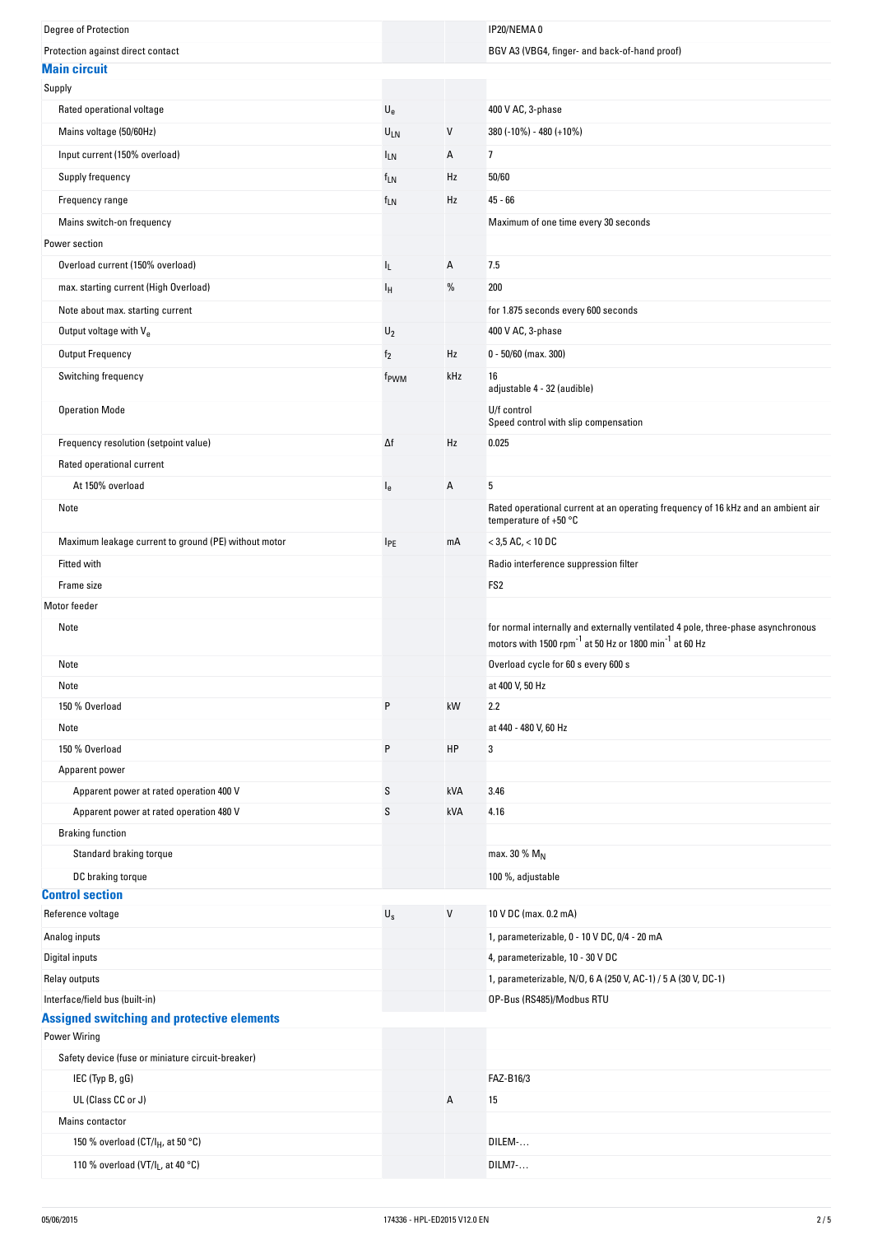| Degree of Protection                                                               |                           |         | IP20/NEMA0                                                                                                                                                         |
|------------------------------------------------------------------------------------|---------------------------|---------|--------------------------------------------------------------------------------------------------------------------------------------------------------------------|
| Protection against direct contact<br>BGV A3 (VBG4, finger- and back-of-hand proof) |                           |         |                                                                                                                                                                    |
| <b>Main circuit</b>                                                                |                           |         |                                                                                                                                                                    |
| Supply                                                                             |                           |         |                                                                                                                                                                    |
| Rated operational voltage                                                          | $\mathsf{U}_{\mathsf{e}}$ |         | 400 V AC, 3-phase                                                                                                                                                  |
| Mains voltage (50/60Hz)                                                            | $U_{LN}$                  | V       | $380 (-10\%) - 480 (+10\%)$                                                                                                                                        |
| Input current (150% overload)                                                      | <sup>I</sup> LN           | А       | 7                                                                                                                                                                  |
| Supply frequency                                                                   | $f_{LN}$                  | Hz      | 50/60                                                                                                                                                              |
| Frequency range                                                                    |                           | Hz      | $45 - 66$                                                                                                                                                          |
|                                                                                    | $f_{LN}$                  |         |                                                                                                                                                                    |
| Mains switch-on frequency                                                          |                           |         | Maximum of one time every 30 seconds                                                                                                                               |
| Power section                                                                      |                           |         |                                                                                                                                                                    |
| Overload current (150% overload)                                                   | IL.                       | Α       | 7.5                                                                                                                                                                |
| max. starting current (High Overload)                                              | ΙH                        | %       | 200                                                                                                                                                                |
| Note about max. starting current                                                   |                           |         | for 1.875 seconds every 600 seconds                                                                                                                                |
| Output voltage with Ve                                                             | $U_2$                     |         | 400 V AC, 3-phase                                                                                                                                                  |
| <b>Output Frequency</b>                                                            | f <sub>2</sub>            | Hz      | $0 - 50/60$ (max. 300)                                                                                                                                             |
| Switching frequency                                                                | f <sub>PWM</sub>          | kHz     | 16<br>adjustable 4 - 32 (audible)                                                                                                                                  |
| <b>Operation Mode</b>                                                              |                           |         | U/f control<br>Speed control with slip compensation                                                                                                                |
| Frequency resolution (setpoint value)                                              | Δf                        | Hz      | 0.025                                                                                                                                                              |
|                                                                                    |                           |         |                                                                                                                                                                    |
| Rated operational current                                                          |                           |         |                                                                                                                                                                    |
| At 150% overload                                                                   | $I_{e}$                   | Α       | 5                                                                                                                                                                  |
| Note                                                                               |                           |         | Rated operational current at an operating frequency of 16 kHz and an ambient air<br>temperature of $+50$ °C                                                        |
| Maximum leakage current to ground (PE) without motor                               | <b>IPE</b>                | mA      | $<$ 3,5 AC, $<$ 10 DC                                                                                                                                              |
| Fitted with                                                                        |                           |         | Radio interference suppression filter                                                                                                                              |
| Frame size                                                                         |                           |         | FS <sub>2</sub>                                                                                                                                                    |
|                                                                                    |                           |         |                                                                                                                                                                    |
| Motor feeder                                                                       |                           |         |                                                                                                                                                                    |
| Note                                                                               |                           |         | for normal internally and externally ventilated 4 pole, three-phase asynchronous<br>motors with 1500 rpm <sup>-1</sup> at 50 Hz or 1800 min <sup>-1</sup> at 60 Hz |
| Note                                                                               |                           |         | Overload cycle for 60 s every 600 s                                                                                                                                |
| Note                                                                               |                           |         | at 400 V, 50 Hz                                                                                                                                                    |
| 150 % Overload                                                                     | P                         | kW      | 2.2                                                                                                                                                                |
| Note                                                                               |                           |         | at 440 - 480 V, 60 Hz                                                                                                                                              |
| 150 % Overload                                                                     | P                         | HP      | 3                                                                                                                                                                  |
| Apparent power                                                                     |                           |         |                                                                                                                                                                    |
| Apparent power at rated operation 400 V                                            | S                         | kVA     | 3.46                                                                                                                                                               |
| Apparent power at rated operation 480 V                                            | S                         | kVA     | 4.16                                                                                                                                                               |
| <b>Braking function</b>                                                            |                           |         |                                                                                                                                                                    |
| Standard braking torque                                                            |                           |         |                                                                                                                                                                    |
|                                                                                    |                           |         | max. 30 % M <sub>N</sub>                                                                                                                                           |
| DC braking torque<br><b>Control section</b>                                        |                           |         | 100 %, adjustable                                                                                                                                                  |
| Reference voltage                                                                  | $U_{\rm S}$               | $\sf V$ | 10 V DC (max. 0.2 mA)                                                                                                                                              |
| Analog inputs                                                                      |                           |         | 1, parameterizable, 0 - 10 V DC, 0/4 - 20 mA                                                                                                                       |
| Digital inputs                                                                     |                           |         | 4, parameterizable, 10 - 30 V DC                                                                                                                                   |
| Relay outputs                                                                      |                           |         | 1, parameterizable, N/O, 6 A (250 V, AC-1) / 5 A (30 V, DC-1)                                                                                                      |
| Interface/field bus (built-in)                                                     |                           |         | OP-Bus (RS485)/Modbus RTU                                                                                                                                          |
| <b>Assigned switching and protective elements</b>                                  |                           |         |                                                                                                                                                                    |
| <b>Power Wiring</b>                                                                |                           |         |                                                                                                                                                                    |
| Safety device (fuse or miniature circuit-breaker)                                  |                           |         |                                                                                                                                                                    |
| IEC (Typ B, gG)                                                                    |                           |         | FAZ-B16/3                                                                                                                                                          |
| UL (Class CC or J)                                                                 |                           | А       | 15                                                                                                                                                                 |
| Mains contactor                                                                    |                           |         |                                                                                                                                                                    |
| 150 % overload (CT/I <sub>H</sub> , at 50 °C)                                      |                           |         | DILEM-                                                                                                                                                             |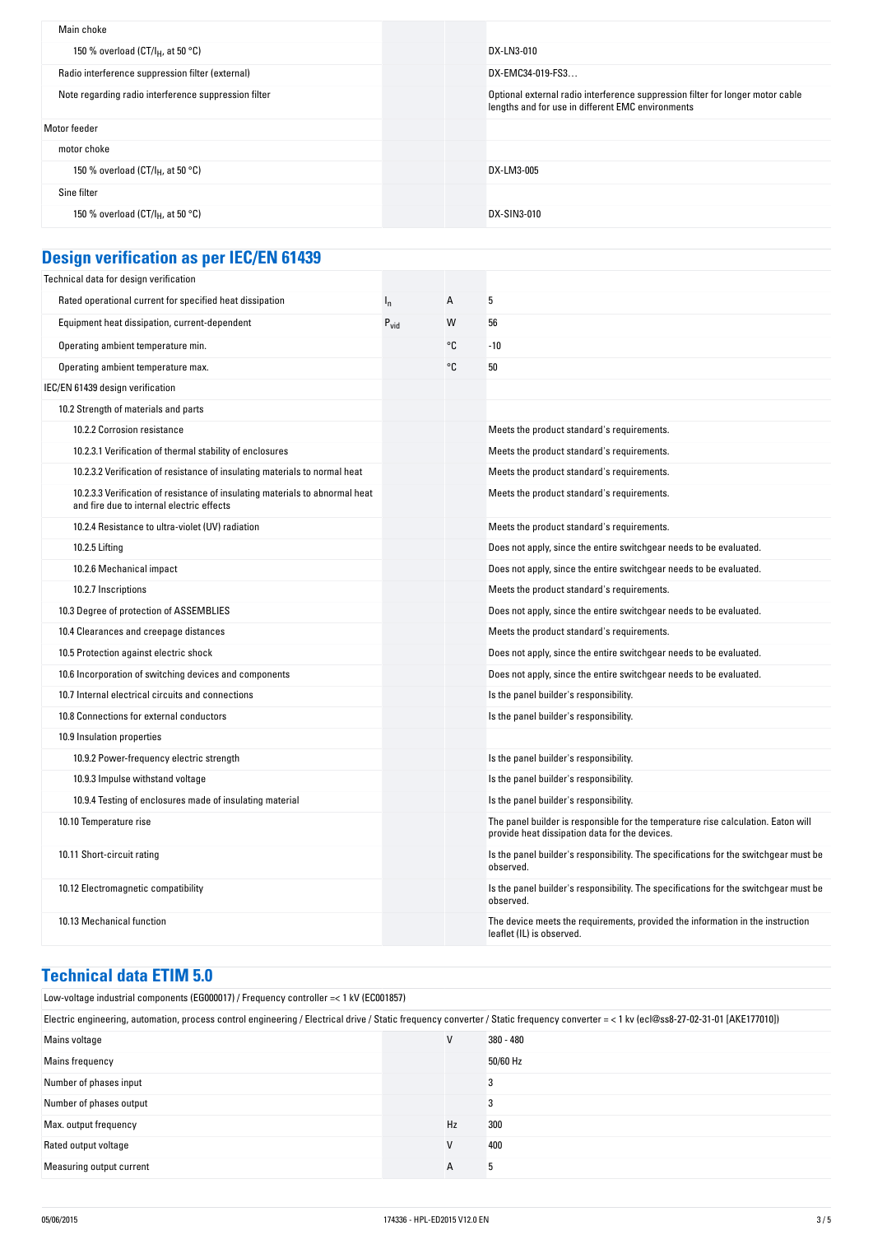| Main choke                                           |                                                                                                                                     |
|------------------------------------------------------|-------------------------------------------------------------------------------------------------------------------------------------|
| 150 % overload (CT/I <sub>H</sub> , at 50 °C)        | DX-LN3-010                                                                                                                          |
| Radio interference suppression filter (external)     | DX-EMC34-019-FS3                                                                                                                    |
| Note regarding radio interference suppression filter | Optional external radio interference suppression filter for longer motor cable<br>lengths and for use in different EMC environments |
| Motor feeder                                         |                                                                                                                                     |
| motor choke                                          |                                                                                                                                     |
| 150 % overload (CT/I <sub>H</sub> , at 50 °C)        | DX-LM3-005                                                                                                                          |
| Sine filter                                          |                                                                                                                                     |
| 150 % overload ( $CT/I_H$ , at 50 °C)                | DX-SIN3-010                                                                                                                         |

### **Design-verification-as-per-IEC/EN-61439**

| Technical data for design verification                                                                                    |                  |    |                                                                                                                                     |
|---------------------------------------------------------------------------------------------------------------------------|------------------|----|-------------------------------------------------------------------------------------------------------------------------------------|
| Rated operational current for specified heat dissipation                                                                  | $I_{n}$          | A  | 5                                                                                                                                   |
| Equipment heat dissipation, current-dependent                                                                             | $P_{\text{vid}}$ | W  | 56                                                                                                                                  |
| Operating ambient temperature min.                                                                                        |                  | °C | -10                                                                                                                                 |
| Operating ambient temperature max.                                                                                        |                  | ۰c | 50                                                                                                                                  |
| IEC/EN 61439 design verification                                                                                          |                  |    |                                                                                                                                     |
| 10.2 Strength of materials and parts                                                                                      |                  |    |                                                                                                                                     |
| 10.2.2 Corrosion resistance                                                                                               |                  |    | Meets the product standard's requirements.                                                                                          |
| 10.2.3.1 Verification of thermal stability of enclosures                                                                  |                  |    | Meets the product standard's requirements.                                                                                          |
| 10.2.3.2 Verification of resistance of insulating materials to normal heat                                                |                  |    | Meets the product standard's requirements.                                                                                          |
| 10.2.3.3 Verification of resistance of insulating materials to abnormal heat<br>and fire due to internal electric effects |                  |    | Meets the product standard's requirements.                                                                                          |
| 10.2.4 Resistance to ultra-violet (UV) radiation                                                                          |                  |    | Meets the product standard's requirements.                                                                                          |
| 10.2.5 Lifting                                                                                                            |                  |    | Does not apply, since the entire switchgear needs to be evaluated.                                                                  |
| 10.2.6 Mechanical impact                                                                                                  |                  |    | Does not apply, since the entire switchgear needs to be evaluated.                                                                  |
| 10.2.7 Inscriptions                                                                                                       |                  |    | Meets the product standard's requirements.                                                                                          |
| 10.3 Degree of protection of ASSEMBLIES                                                                                   |                  |    | Does not apply, since the entire switchgear needs to be evaluated.                                                                  |
| 10.4 Clearances and creepage distances                                                                                    |                  |    | Meets the product standard's requirements.                                                                                          |
| 10.5 Protection against electric shock                                                                                    |                  |    | Does not apply, since the entire switchgear needs to be evaluated.                                                                  |
| 10.6 Incorporation of switching devices and components                                                                    |                  |    | Does not apply, since the entire switchgear needs to be evaluated.                                                                  |
| 10.7 Internal electrical circuits and connections                                                                         |                  |    | Is the panel builder's responsibility.                                                                                              |
| 10.8 Connections for external conductors                                                                                  |                  |    | Is the panel builder's responsibility.                                                                                              |
| 10.9 Insulation properties                                                                                                |                  |    |                                                                                                                                     |
| 10.9.2 Power-frequency electric strength                                                                                  |                  |    | Is the panel builder's responsibility.                                                                                              |
| 10.9.3 Impulse withstand voltage                                                                                          |                  |    | Is the panel builder's responsibility.                                                                                              |
| 10.9.4 Testing of enclosures made of insulating material                                                                  |                  |    | Is the panel builder's responsibility.                                                                                              |
| 10.10 Temperature rise                                                                                                    |                  |    | The panel builder is responsible for the temperature rise calculation. Eaton will<br>provide heat dissipation data for the devices. |
| 10.11 Short-circuit rating                                                                                                |                  |    | Is the panel builder's responsibility. The specifications for the switchgear must be<br>observed.                                   |
| 10.12 Electromagnetic compatibility                                                                                       |                  |    | Is the panel builder's responsibility. The specifications for the switchgear must be<br>observed.                                   |
| 10.13 Mechanical function                                                                                                 |                  |    | The device meets the requirements, provided the information in the instruction<br>leaflet (IL) is observed.                         |
|                                                                                                                           |                  |    |                                                                                                                                     |

# **Technical-data-ETIM-5.0**

Low-voltage industrial components (EG000017) / Frequency controller =< 1 kV (EC001857)

Electric engineering, automation, process control engineering / Electrical drive / Static frequency converter / Static frequency converter = < 1 kv (ecl@ss8-27-02-31-01 [AKE177010])

| Mains voltage            | V  | 380 - 480 |
|--------------------------|----|-----------|
| Mains frequency          |    | 50/60 Hz  |
| Number of phases input   |    | 3         |
| Number of phases output  |    | 3         |
| Max. output frequency    | Hz | 300       |
| Rated output voltage     | V  | 400       |
| Measuring output current | A  | 5         |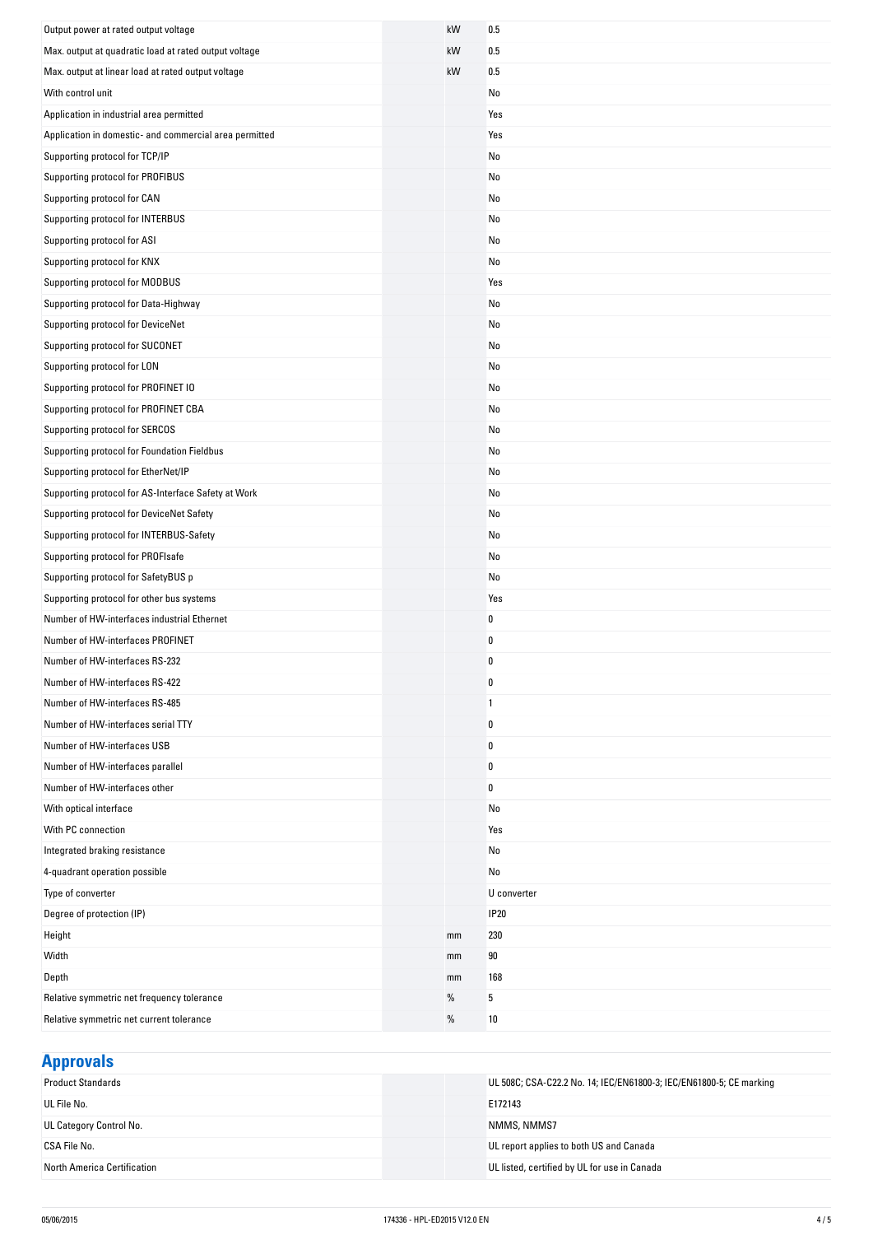| Output power at rated output voltage                   | kW   | 0.5         |
|--------------------------------------------------------|------|-------------|
| Max. output at quadratic load at rated output voltage  | kW   | 0.5         |
| Max. output at linear load at rated output voltage     | kW   | 0.5         |
| With control unit                                      |      | No          |
| Application in industrial area permitted               |      | Yes         |
| Application in domestic- and commercial area permitted |      | Yes         |
| Supporting protocol for TCP/IP                         |      | No          |
| Supporting protocol for PROFIBUS                       |      | No          |
| Supporting protocol for CAN                            |      | No          |
| Supporting protocol for INTERBUS                       |      | No          |
| Supporting protocol for ASI                            |      | No          |
| Supporting protocol for KNX                            |      | No          |
| Supporting protocol for MODBUS                         |      | Yes         |
| Supporting protocol for Data-Highway                   |      | No          |
| Supporting protocol for DeviceNet                      |      | No          |
| Supporting protocol for SUCONET                        |      | No          |
| Supporting protocol for LON                            |      | No          |
| Supporting protocol for PROFINET IO                    |      | No          |
| Supporting protocol for PROFINET CBA                   |      | No          |
| Supporting protocol for SERCOS                         |      | No          |
| Supporting protocol for Foundation Fieldbus            |      | No          |
| Supporting protocol for EtherNet/IP                    |      | No          |
| Supporting protocol for AS-Interface Safety at Work    |      | No          |
| Supporting protocol for DeviceNet Safety               |      | No          |
| Supporting protocol for INTERBUS-Safety                |      | No          |
| Supporting protocol for PROFIsafe                      |      | No          |
| Supporting protocol for SafetyBUS p                    |      | No          |
| Supporting protocol for other bus systems              |      | Yes         |
| Number of HW-interfaces industrial Ethernet            |      | 0           |
| Number of HW-interfaces PROFINET                       |      | 0           |
| Number of HW-interfaces RS-232                         |      | 0           |
| Number of HW-interfaces RS-422                         |      | 0           |
| Number of HW-interfaces RS-485                         |      | 1           |
| Number of HW-interfaces serial TTY                     |      | 0           |
| Number of HW-interfaces USB                            |      | 0           |
| Number of HW-interfaces parallel                       |      | 0           |
| Number of HW-interfaces other                          |      | 0           |
| With optical interface                                 |      | No          |
| With PC connection                                     |      | Yes         |
| Integrated braking resistance                          |      | No          |
| 4-quadrant operation possible                          |      | No          |
| Type of converter                                      |      | U converter |
| Degree of protection (IP)                              |      | <b>IP20</b> |
| Height                                                 | mm   | 230         |
| Width                                                  | mm   | 90          |
| Depth                                                  | mm   | 168         |
| Relative symmetric net frequency tolerance             | %    | 5<br>$10$   |
| Relative symmetric net current tolerance               | $\%$ |             |

**Approvals**

| <b>Product Standards</b>                                | UL 508C; CSA-C22.2 No. 14; IEC/EN61800-3; IEC/EN61800-5; CE marking |
|---------------------------------------------------------|---------------------------------------------------------------------|
| UL File No.<br>E172143                                  |                                                                     |
| UL Category Control No.<br>NMMS, NMMS7                  |                                                                     |
| CSA File No.<br>UL report applies to both US and Canada |                                                                     |
| North America Certification                             | UL listed, certified by UL for use in Canada                        |